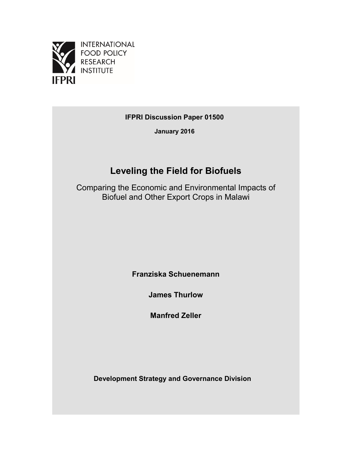

**INTERNATIONAL FOOD POLICY RESEARCH INSTITUTE** 

**IFPRI Discussion Paper 01500**

**January 2016**

# **Leveling the Field for Biofuels**

Comparing the Economic and Environmental Impacts of Biofuel and Other Export Crops in Malawi

**Franziska Schuenemann**

**James Thurlow**

**Manfred Zeller**

**Development Strategy and Governance Division**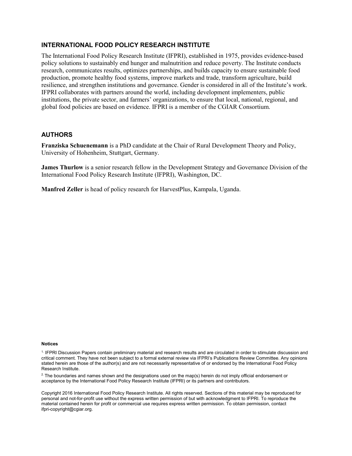## **INTERNATIONAL FOOD POLICY RESEARCH INSTITUTE**

The International Food Policy Research Institute (IFPRI), established in 1975, provides evidence-based policy solutions to sustainably end hunger and malnutrition and reduce poverty. The Institute conducts research, communicates results, optimizes partnerships, and builds capacity to ensure sustainable food production, promote healthy food systems, improve markets and trade, transform agriculture, build resilience, and strengthen institutions and governance. Gender is considered in all of the Institute's work. IFPRI collaborates with partners around the world, including development implementers, public institutions, the private sector, and farmers' organizations, to ensure that local, national, regional, and global food policies are based on evidence. IFPRI is a member of the CGIAR Consortium.

## **AUTHORS**

**Franziska Schuenemann** is a PhD candidate at the Chair of Rural Development Theory and Policy, University of Hohenheim, Stuttgart, Germany.

**James Thurlow** is a senior research fellow in the Development Strategy and Governance Division of the International Food Policy Research Institute (IFPRI), Washington, DC.

**Manfred Zeller** is head of policy research for HarvestPlus, Kampala, Uganda.

#### **Notices**

<sup>2</sup>. The boundaries and names shown and the designations used on the map(s) herein do not imply official endorsement or acceptance by the International Food Policy Research Institute (IFPRI) or its partners and contributors.

Copyright 2016 International Food Policy Research Institute. All rights reserved. Sections of this material may be reproduced for personal and not-for-profit use without the express written permission of but with acknowledgment to IFPRI. To reproduce the material contained herein for profit or commercial use requires express written permission. To obtain permission, contact ifpri-copyright@cgiar.org.

<sup>1.</sup> IFPRI Discussion Papers contain preliminary material and research results and are circulated in order to stimulate discussion and critical comment. They have not been subject to a formal external review via IFPRI's Publications Review Committee. Any opinions stated herein are those of the author(s) and are not necessarily representative of or endorsed by the International Food Policy Research Institute.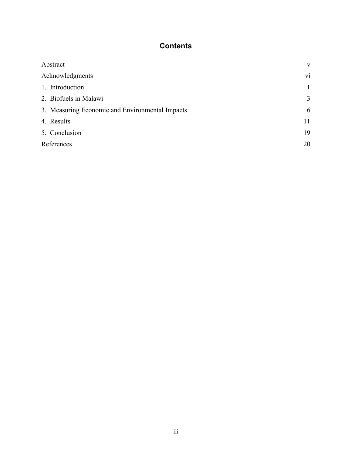## **Contents**

| Abstract                                        | V            |
|-------------------------------------------------|--------------|
| Acknowledgments                                 | vi           |
| 1. Introduction                                 | $\mathbf{1}$ |
| 2. Biofuels in Malawi                           | 3            |
| 3. Measuring Economic and Environmental Impacts | 6            |
| 4. Results                                      | 11           |
| 5. Conclusion                                   | 19           |
| References                                      | 20           |
|                                                 |              |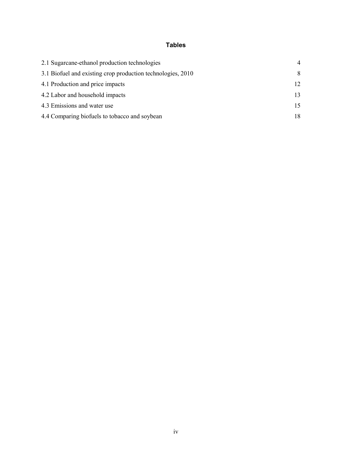## **Tables**

| 2.1 Sugarcane-ethanol production technologies               | 4               |
|-------------------------------------------------------------|-----------------|
| 3.1 Biofuel and existing crop production technologies, 2010 | 8               |
| 4.1 Production and price impacts                            | 12 <sup>2</sup> |
| 4.2 Labor and household impacts                             | 13.             |
| 4.3 Emissions and water use                                 | 15.             |
| 4.4 Comparing biofuels to tobacco and soybean               | 18              |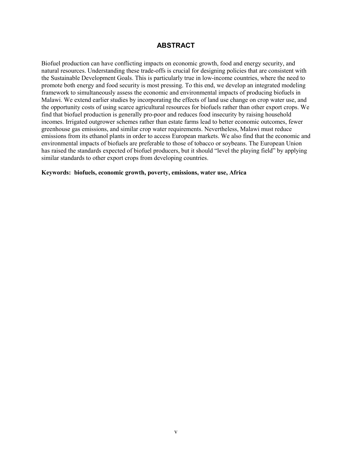## **ABSTRACT**

Biofuel production can have conflicting impacts on economic growth, food and energy security, and natural resources. Understanding these trade-offs is crucial for designing policies that are consistent with the Sustainable Development Goals. This is particularly true in low-income countries, where the need to promote both energy and food security is most pressing. To this end, we develop an integrated modeling framework to simultaneously assess the economic and environmental impacts of producing biofuels in Malawi. We extend earlier studies by incorporating the effects of land use change on crop water use, and the opportunity costs of using scarce agricultural resources for biofuels rather than other export crops. We find that biofuel production is generally pro-poor and reduces food insecurity by raising household incomes. Irrigated outgrower schemes rather than estate farms lead to better economic outcomes, fewer greenhouse gas emissions, and similar crop water requirements. Nevertheless, Malawi must reduce emissions from its ethanol plants in order to access European markets. We also find that the economic and environmental impacts of biofuels are preferable to those of tobacco or soybeans. The European Union has raised the standards expected of biofuel producers, but it should "level the playing field" by applying similar standards to other export crops from developing countries.

**Keywords: biofuels, economic growth, poverty, emissions, water use, Africa**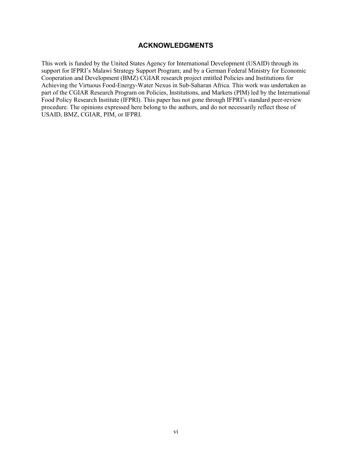## **ACKNOWLEDGMENTS**

This work is funded by the United States Agency for International Development (USAID) through its support for IFPRI's Malawi Strategy Support Program; and by a German Federal Ministry for Economic Cooperation and Development (BMZ) CGIAR research project entitled Policies and Institutions for Achieving the Virtuous Food-Energy-Water Nexus in Sub-Saharan Africa. This work was undertaken as part of the CGIAR Research Program on Policies, Institutions, and Markets (PIM) led by the International Food Policy Research Institute (IFPRI). This paper has not gone through IFPRI's standard peer-review procedure. The opinions expressed here belong to the authors, and do not necessarily reflect those of USAID, BMZ, CGIAR, PIM, or IFPRI.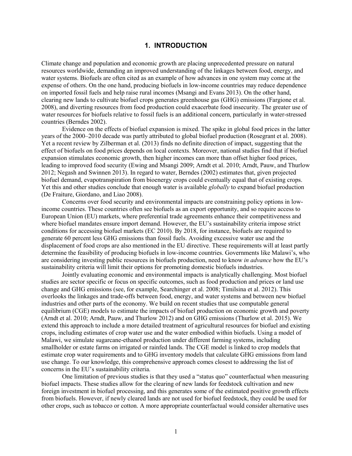## **1. INTRODUCTION**

Climate change and population and economic growth are placing unprecedented pressure on natural resources worldwide, demanding an improved understanding of the linkages between food, energy, and water systems. Biofuels are often cited as an example of how advances in one system may come at the expense of others. On the one hand, producing biofuels in low-income countries may reduce dependence on imported fossil fuels and help raise rural incomes (Msangi and Evans 2013). On the other hand, clearing new lands to cultivate biofuel crops generates greenhouse gas (GHG) emissions (Fargione et al. 2008), and diverting resources from food production could exacerbate food insecurity. The greater use of water resources for biofuels relative to fossil fuels is an additional concern, particularly in water-stressed countries (Berndes 2002).

Evidence on the effects of biofuel expansion is mixed. The spike in global food prices in the latter years of the 2000–2010 decade was partly attributed to global biofuel production (Rosegrant et al. 2008). Yet a recent review by Zilberman et al. (2013) finds no definite direction of impact, suggesting that the effect of biofuels on food prices depends on local contexts. Moreover, national studies find that if biofuel expansion stimulates economic growth, then higher incomes can more than offset higher food prices, leading to improved food security (Ewing and Msangi 2009; Arndt et al. 2010; Arndt, Pauw, and Thurlow 2012; Negash and Swinnen 2013). In regard to water, Berndes (2002) estimates that, given projected biofuel demand, evapotranspiration from bioenergy crops could eventually equal that of existing crops. Yet this and other studies conclude that enough water is available *globally* to expand biofuel production (De Fraiture, Giordano, and Liao 2008).

Concerns over food security and environmental impacts are constraining policy options in lowincome countries. These countries often see biofuels as an export opportunity, and so require access to European Union (EU) markets, where preferential trade agreements enhance their competitiveness and where biofuel mandates ensure import demand. However, the EU's sustainability criteria impose strict conditions for accessing biofuel markets (EC 2010). By 2018, for instance, biofuels are required to generate 60 percent less GHG emissions than fossil fuels. Avoiding excessive water use and the displacement of food crops are also mentioned in the EU directive. These requirements will at least partly determine the feasibility of producing biofuels in low-income countries. Governments like Malawi's, who are considering investing public resources in biofuels production, need to know *in advance* how the EU's sustainability criteria will limit their options for promoting domestic biofuels industries.

Jointly evaluating economic and environmental impacts is analytically challenging. Most biofuel studies are sector specific or focus on specific outcomes, such as food production and prices or land use change and GHG emissions (see, for example, Searchinger et al. 2008; Timilsina et al. 2012). This overlooks the linkages and trade-offs between food, energy, and water systems and between new biofuel industries and other parts of the economy. We build on recent studies that use computable general equilibrium (CGE) models to estimate the impacts of biofuel production on economic growth and poverty (Arndt et al. 2010; Arndt, Pauw, and Thurlow 2012) and on GHG emissions (Thurlow et al. 2015). We extend this approach to include a more detailed treatment of agricultural resources for biofuel and existing crops, including estimates of crop water use and the water embodied within biofuels. Using a model of Malawi, we simulate sugarcane-ethanol production under different farming systems, including smallholder or estate farms on irrigated or rainfed lands. The CGE model is linked to crop models that estimate crop water requirements and to GHG inventory models that calculate GHG emissions from land use change. To our knowledge, this comprehensive approach comes closest to addressing the list of concerns in the EU's sustainability criteria.

One limitation of previous studies is that they used a "status quo" counterfactual when measuring biofuel impacts. These studies allow for the clearing of new lands for feedstock cultivation and new foreign investment in biofuel processing, and this generates some of the estimated positive growth effects from biofuels. However, if newly cleared lands are not used for biofuel feedstock, they could be used for other crops, such as tobacco or cotton. A more appropriate counterfactual would consider alternative uses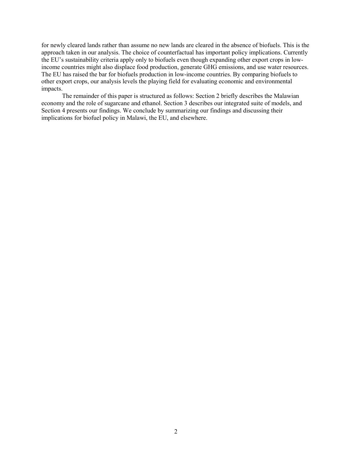for newly cleared lands rather than assume no new lands are cleared in the absence of biofuels. This is the approach taken in our analysis. The choice of counterfactual has important policy implications. Currently the EU's sustainability criteria apply only to biofuels even though expanding other export crops in lowincome countries might also displace food production, generate GHG emissions, and use water resources. The EU has raised the bar for biofuels production in low-income countries. By comparing biofuels to other export crops, our analysis levels the playing field for evaluating economic and environmental impacts.

The remainder of this paper is structured as follows: Section 2 briefly describes the Malawian economy and the role of sugarcane and ethanol. Section 3 describes our integrated suite of models, and Section 4 presents our findings. We conclude by summarizing our findings and discussing their implications for biofuel policy in Malawi, the EU, and elsewhere.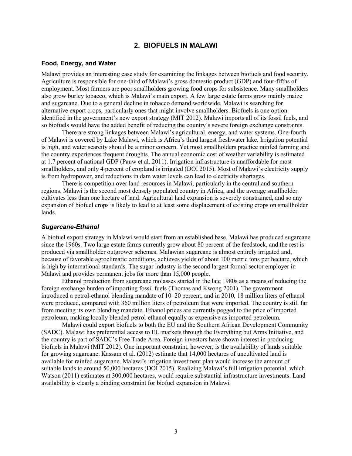## **2. BIOFUELS IN MALAWI**

#### **Food, Energy, and Water**

Malawi provides an interesting case study for examining the linkages between biofuels and food security. Agriculture is responsible for one-third of Malawi's gross domestic product (GDP) and four-fifths of employment. Most farmers are poor smallholders growing food crops for subsistence. Many smallholders also grow burley tobacco, which is Malawi's main export. A few large estate farms grow mainly maize and sugarcane. Due to a general decline in tobacco demand worldwide, Malawi is searching for alternative export crops, particularly ones that might involve smallholders. Biofuels is one option identified in the government's new export strategy (MIT 2012). Malawi imports all of its fossil fuels, and so biofuels would have the added benefit of reducing the country's severe foreign exchange constraints.

There are strong linkages between Malawi's agricultural, energy, and water systems. One-fourth of Malawi is covered by Lake Malawi, which is Africa's third largest freshwater lake. Irrigation potential is high, and water scarcity should be a minor concern. Yet most smallholders practice rainfed farming and the country experiences frequent droughts. The annual economic cost of weather variability is estimated at 1.7 percent of national GDP (Pauw et al. 2011). Irrigation infrastructure is unaffordable for most smallholders, and only 4 percent of cropland is irrigated (DOI 2015). Most of Malawi's electricity supply is from hydropower, and reductions in dam water levels can lead to electricity shortages.

There is competition over land resources in Malawi, particularly in the central and southern regions. Malawi is the second most densely populated country in Africa, and the average smallholder cultivates less than one hectare of land. Agricultural land expansion is severely constrained, and so any expansion of biofuel crops is likely to lead to at least some displacement of existing crops on smallholder lands.

#### *Sugarcane-Ethanol*

A biofuel export strategy in Malawi would start from an established base. Malawi has produced sugarcane since the 1960s. Two large estate farms currently grow about 80 percent of the feedstock, and the rest is produced via smallholder outgrower schemes. Malawian sugarcane is almost entirely irrigated and, because of favorable agroclimatic conditions, achieves yields of about 100 metric tons per hectare, which is high by international standards. The sugar industry is the second largest formal sector employer in Malawi and provides permanent jobs for more than 15,000 people.

Ethanol production from sugarcane molasses started in the late 1980s as a means of reducing the foreign exchange burden of importing fossil fuels (Thomas and Kwong 2001). The government introduced a petrol-ethanol blending mandate of 10–20 percent, and in 2010, 18 million liters of ethanol were produced, compared with 360 million liters of petroleum that were imported. The country is still far from meeting its own blending mandate. Ethanol prices are currently pegged to the price of imported petroleum, making locally blended petrol-ethanol equally as expensive as imported petroleum.

Malawi could export biofuels to both the EU and the Southern African Development Community (SADC). Malawi has preferential access to EU markets through the Everything but Arms Initiative, and the country is part of SADC's Free Trade Area. Foreign investors have shown interest in producing biofuels in Malawi (MIT 2012). One important constraint, however, is the availability of lands suitable for growing sugarcane. Kassam et al. (2012) estimate that 14,000 hectares of uncultivated land is available for rainfed sugarcane. Malawi's irrigation investment plan would increase the amount of suitable lands to around 50,000 hectares (DOI 2015). Realizing Malawi's full irrigation potential, which Watson (2011) estimates at 300,000 hectares, would require substantial infrastructure investments. Land availability is clearly a binding constraint for biofuel expansion in Malawi.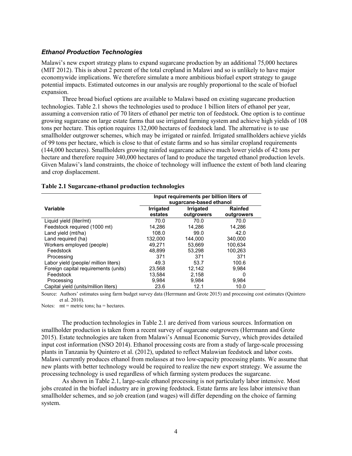#### *Ethanol Production Technologies*

Malawi's new export strategy plans to expand sugarcane production by an additional 75,000 hectares (MIT 2012). This is about 2 percent of the total cropland in Malawi and so is unlikely to have major economywide implications. We therefore simulate a more ambitious biofuel export strategy to gauge potential impacts. Estimated outcomes in our analysis are roughly proportional to the scale of biofuel expansion.

Three broad biofuel options are available to Malawi based on existing sugarcane production technologies. Table 2.1 shows the technologies used to produce 1 billion liters of ethanol per year, assuming a conversion ratio of 70 liters of ethanol per metric ton of feedstock. One option is to continue growing sugarcane on large estate farms that use irrigated farming system and achieve high yields of 108 tons per hectare. This option requires 132,000 hectares of feedstock land. The alternative is to use smallholder outgrower schemes, which may be irrigated or rainfed. Irrigated smallholders achieve yields of 99 tons per hectare, which is close to that of estate farms and so has similar cropland requirements (144,000 hectares). Smallholders growing rainfed sugarcane achieve much lower yields of 42 tons per hectare and therefore require 340,000 hectares of land to produce the targeted ethanol production levels. Given Malawi's land constraints, the choice of technology will influence the extent of both land clearing and crop displacement.

|                                      | Input requirements per billion liters of<br>sugarcane-based ethanol |                                |                              |  |  |  |
|--------------------------------------|---------------------------------------------------------------------|--------------------------------|------------------------------|--|--|--|
| Variable                             | <b>Irrigated</b><br>estates                                         | <b>Irrigated</b><br>outgrowers | <b>Rainfed</b><br>outgrowers |  |  |  |
| Liquid yield (liter/mt)              | 70.0                                                                | 70.0                           | 70.0                         |  |  |  |
| Feedstock required (1000 mt)         | 14.286                                                              | 14.286                         | 14.286                       |  |  |  |
| Land yield (mt/ha)                   | 108.0                                                               | 99.0                           | 42.0                         |  |  |  |
| Land required (ha)                   | 132,000                                                             | 144.000                        | 340.000                      |  |  |  |
| Workers employed (people)            | 49.271                                                              | 53,669                         | 100,634                      |  |  |  |
| Feedstock                            | 48,899                                                              | 53.298                         | 100.263                      |  |  |  |
| Processing                           | 371                                                                 | 371                            | 371                          |  |  |  |
| Labor yield (people/ million liters) | 49.3                                                                | 53.7                           | 100.6                        |  |  |  |
| Foreign capital requirements (units) | 23,568                                                              | 12.142                         | 9.984                        |  |  |  |
| Feedstock                            | 13,584                                                              | 2,158                          | 0                            |  |  |  |
| Processing                           | 9,984                                                               | 9.984                          | 9,984                        |  |  |  |
| Capital yield (units/million liters) | 23.6                                                                | 12.1                           | 10.0                         |  |  |  |

#### **Table 2.1 Sugarcane-ethanol production technologies**

Source: Authors' estimates using farm budget survey data (Herrmann and Grote 2015) and processing cost estimates (Quintero et al. 2010).

Notes:  $mt = metric$  tons:  $ha = hectares$ .

The production technologies in Table 2.1 are derived from various sources. Information on smallholder production is taken from a recent survey of sugarcane outgrowers (Herrmann and Grote 2015). Estate technologies are taken from Malawi's Annual Economic Survey, which provides detailed input cost information (NSO 2014). Ethanol processing costs are from a study of large-scale processing plants in Tanzania by Quintero et al. (2012), updated to reflect Malawian feedstock and labor costs. Malawi currently produces ethanol from molasses at two low-capacity processing plants. We assume that new plants with better technology would be required to realize the new export strategy. We assume the processing technology is used regardless of which farming system produces the sugarcane.

As shown in Table 2.1, large-scale ethanol processing is not particularly labor intensive. Most jobs created in the biofuel industry are in growing feedstock. Estate farms are less labor intensive than smallholder schemes, and so job creation (and wages) will differ depending on the choice of farming system.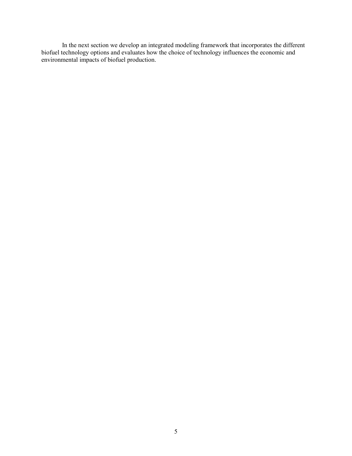In the next section we develop an integrated modeling framework that incorporates the different biofuel technology options and evaluates how the choice of technology influences the economic and environmental impacts of biofuel production.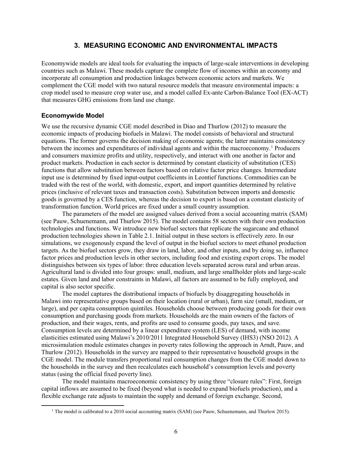## **3. MEASURING ECONOMIC AND ENVIRONMENTAL IMPACTS**

Economywide models are ideal tools for evaluating the impacts of large-scale interventions in developing countries such as Malawi. These models capture the complete flow of incomes within an economy and incorporate all consumption and production linkages between economic actors and markets. We complement the CGE model with two natural resource models that measure environmental impacts: a crop model used to measure crop water use, and a model called Ex-ante Carbon-Balance Tool (EX-ACT) that measures GHG emissions from land use change.

### **Economywide Model**

We use the recursive dynamic CGE model described in Diao and Thurlow (2012) to measure the economic impacts of producing biofuels in Malawi. The model consists of behavioral and structural equations. The former governs the decision making of economic agents; the latter maintains consistency between the incomes and expenditures of individual agents and within the macroeconomy.[1](#page-11-0) Producers and consumers maximize profits and utility, respectively, and interact with one another in factor and product markets. Production in each sector is determined by constant elasticity of substitution (CES) functions that allow substitution between factors based on relative factor price changes. Intermediate input use is determined by fixed input-output coefficients in Leontief functions. Commodities can be traded with the rest of the world, with domestic, export, and import quantities determined by relative prices (inclusive of relevant taxes and transaction costs). Substitution between imports and domestic goods is governed by a CES function, whereas the decision to export is based on a constant elasticity of transformation function. World prices are fixed under a small country assumption.

The parameters of the model are assigned values derived from a social accounting matrix (SAM) (see Pauw, Schuenemann, and Thurlow 2015). The model contains 58 sectors with their own production technologies and functions. We introduce new biofuel sectors that replicate the sugarcane and ethanol production technologies shown in Table 2.1. Initial output in these sectors is effectively zero. In our simulations, we exogenously expand the level of output in the biofuel sectors to meet ethanol production targets. As the biofuel sectors grow, they draw in land, labor, and other inputs, and by doing so, influence factor prices and production levels in other sectors, including food and existing export crops. The model distinguishes between six types of labor: three education levels separated across rural and urban areas. Agricultural land is divided into four groups: small, medium, and large smallholder plots and large-scale estates. Given land and labor constraints in Malawi, all factors are assumed to be fully employed, and capital is also sector specific.

The model captures the distributional impacts of biofuels by disaggregating households in Malawi into representative groups based on their location (rural or urban), farm size (small, medium, or large), and per capita consumption quintiles. Households choose between producing goods for their own consumption and purchasing goods from markets. Households are the main owners of the factors of production, and their wages, rents, and profits are used to consume goods, pay taxes, and save. Consumption levels are determined by a linear expenditure system (LES) of demand, with income elasticities estimated using Malawi's 2010/2011 Integrated Household Survey (IHS3) (NSO 2012). A microsimulation module estimates changes in poverty rates following the approach in Arndt, Pauw, and Thurlow (2012). Households in the survey are mapped to their representative household groups in the CGE model. The module transfers proportional real consumption changes from the CGE model down to the households in the survey and then recalculates each household's consumption levels and poverty status (using the official fixed poverty line).

<span id="page-11-0"></span>The model maintains macroeconomic consistency by using three "closure rules": First, foreign capital inflows are assumed to be fixed (beyond what is needed to expand biofuels production), and a flexible exchange rate adjusts to maintain the supply and demand of foreign exchange. Second,

<sup>&</sup>lt;sup>1</sup> The model is calibrated to a 2010 social accounting matrix (SAM) (see Pauw, Schuenemann, and Thurlow 2015).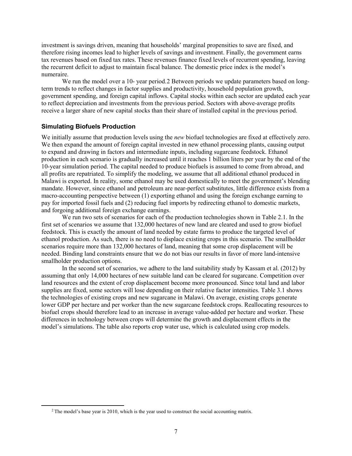investment is savings driven, meaning that households' marginal propensities to save are fixed, and therefore rising incomes lead to higher levels of savings and investment. Finally, the government earns tax revenues based on fixed tax rates. These revenues finance fixed levels of recurrent spending, leaving the recurrent deficit to adjust to maintain fiscal balance. The domestic price index is the model's numeraire.

We run the model over a 10- year period. [2](#page-12-0) Between periods we update parameters based on longterm trends to reflect changes in factor supplies and productivity, household population growth, government spending, and foreign capital inflows. Capital stocks within each sector are updated each year to reflect depreciation and investments from the previous period. Sectors with above-average profits receive a larger share of new capital stocks than their share of installed capital in the previous period.

#### **Simulating Biofuels Production**

We initially assume that production levels using the *new* biofuel technologies are fixed at effectively zero. We then expand the amount of foreign capital invested in new ethanol processing plants, causing output to expand and drawing in factors and intermediate inputs, including sugarcane feedstock. Ethanol production in each scenario is gradually increased until it reaches 1 billion liters per year by the end of the 10-year simulation period. The capital needed to produce biofuels is assumed to come from abroad, and all profits are repatriated. To simplify the modeling, we assume that all additional ethanol produced in Malawi is exported. In reality, some ethanol may be used domestically to meet the government's blending mandate. However, since ethanol and petroleum are near-perfect substitutes, little difference exists from a macro-accounting perspective between (1) exporting ethanol and using the foreign exchange earning to pay for imported fossil fuels and (2) reducing fuel imports by redirecting ethanol to domestic markets, and forgoing additional foreign exchange earnings.

We run two sets of scenarios for each of the production technologies shown in Table 2.1. In the first set of scenarios we assume that 132,000 hectares of new land are cleared and used to grow biofuel feedstock. This is exactly the amount of land needed by estate farms to produce the targeted level of ethanol production. As such, there is no need to displace existing crops in this scenario. The smallholder scenarios require more than 132,000 hectares of land, meaning that some crop displacement will be needed. Binding land constraints ensure that we do not bias our results in favor of more land-intensive smallholder production options.

In the second set of scenarios, we adhere to the land suitability study by Kassam et al. (2012) by assuming that only 14,000 hectares of new suitable land can be cleared for sugarcane. Competition over land resources and the extent of crop displacement become more pronounced. Since total land and labor supplies are fixed, some sectors will lose depending on their relative factor intensities. Table 3.1 shows the technologies of existing crops and new sugarcane in Malawi. On average, existing crops generate lower GDP per hectare and per worker than the new sugarcane feedstock crops. Reallocating resources to biofuel crops should therefore lead to an increase in average value-added per hectare and worker. These differences in technology between crops will determine the growth and displacement effects in the model's simulations. The table also reports crop water use, which is calculated using crop models.

<span id="page-12-0"></span> <sup>2</sup> The model's base year is 2010, which is the year used to construct the social accounting matrix.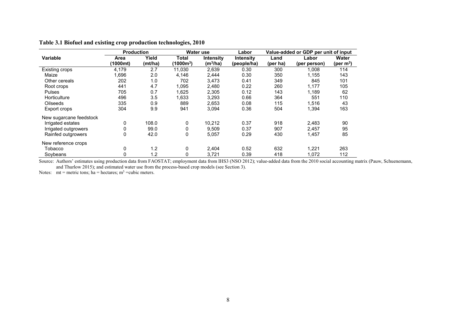|                         |          | <b>Production</b> | Water use    |                  | Labor            |          | Value-added or GDP per unit of input |                       |
|-------------------------|----------|-------------------|--------------|------------------|------------------|----------|--------------------------------------|-----------------------|
| <b>Variable</b>         | Area     | Yield             | <b>Total</b> | <b>Intensity</b> | <b>Intensity</b> | Land     | Labor                                | Water                 |
|                         | (1000mt) | (mt/ha)           | $(1000m^3)$  | $(m^3/ha)$       | (people/ha)      | (per ha) | (per person)                         | (per m <sup>3</sup> ) |
| Existing crops          | 4,179    | 2.7               | 11,030       | 2,639            | 0.30             | 300      | 1,008                                | 114                   |
| Maize                   | 1,696    | 2.0               | 4,146        | 2,444            | 0.30             | 350      | 1,155                                | 143                   |
| Other cereals           | 202      | 1.0               | 702          | 3,473            | 0.41             | 349      | 845                                  | 101                   |
| Root crops              | 441      | 4.7               | 1,095        | 2,480            | 0.22             | 260      | 1,177                                | 105                   |
| <b>Pulses</b>           | 705      | 0.7               | 1,625        | 2,305            | 0.12             | 143      | 1,189                                | 62                    |
| Horticulture            | 496      | 3.5               | 1,633        | 3,293            | 0.66             | 364      | 551                                  | 110                   |
| <b>Oilseeds</b>         | 335      | 0.9               | 889          | 2,653            | 0.08             | 115      | 1,516                                | 43                    |
| Export crops            | 304      | 9.9               | 941          | 3,094            | 0.36             | 504      | 1,394                                | 163                   |
| New sugarcane feedstock |          |                   |              |                  |                  |          |                                      |                       |
| Irrigated estates       | 0        | 108.0             | 0            | 10,212           | 0.37             | 918      | 2,483                                | 90                    |
| Irrigated outgrowers    | 0        | 99.0              | 0            | 9,509            | 0.37             | 907      | 2,457                                | 95                    |
| Rainfed outgrowers      | 0        | 42.0              | 0            | 5,057            | 0.29             | 430      | 1,457                                | 85                    |
| New reference crops     |          |                   |              |                  |                  |          |                                      |                       |
| Tobacco                 | 0        | 1.2               | 0            | 2,404            | 0.52             | 632      | 1,221                                | 263                   |
| Soybeans                | 0        | 1.2               | 0            | 3,721            | 0.39             | 418      | 1,072                                | 112                   |

**Table 3.1 Biofuel and existing crop production technologies, 2010**

Source: Authors' estimates using production data from FAOSTAT; employment data from IHS3 (NSO 2012); value-added data from the 2010 social accounting matrix (Pauw, Schuenemann, and Thurlow 2015); and estimated water use from the process-based crop models (see Section 3).

Notes:  $mt = metric tons$ ; ha = hectares;  $m<sup>3</sup> = cubic meters$ .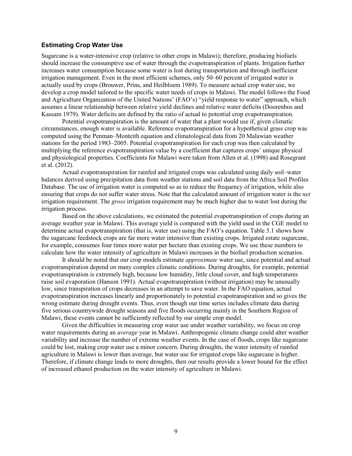#### **Estimating Crop Water Use**

Sugarcane is a water-intensive crop (relative to other crops in Malawi); therefore, producing biofuels should increase the consumptive use of water through the evapotranspiration of plants. Irrigation further increases water consumption because some water is lost during transportation and through inefficient irrigation management. Even in the most efficient schemes, only 50–60 percent of irrigated water is actually used by crops (Brouwer, Prins, and Heilbloem 1989). To measure actual crop water use, we develop a crop model tailored to the specific water needs of crops in Malawi. The model follows the Food and Agriculture Organization of the United Nations' (FAO's) "yield response to water" approach, which assumes a linear relationship between relative yield declines and relative water deficits (Doorenbos and Kassam 1979). Water deficits are defined by the ratio of actual to potential crop evapotranspiration.

Potential evapotranspiration is the amount of water that a plant would use if, given climatic circumstances, enough water is available. Reference evapotranspiration for a hypothetical grass crop was computed using the Penman–Monteith equation and climatological data from 20 Malawian weather stations for the period 1983–2005. Potential evapotranspiration for each crop was then calculated by multiplying the reference evapotranspiration value by a coefficient that captures crops' unique physical and physiological properties. Coefficients for Malawi were taken from Allen et al. (1998) and Rosegrant et al. (2012).

Actual evapotranspiration for rainfed and irrigated crops was calculated using daily soil–water balances derived using precipitation data from weather stations and soil data from the Africa Soil Profiles Database. The use of irrigation water is computed so as to reduce the frequency of irrigation, while also ensuring that crops do not suffer water stress. Note that the calculated amount of irrigation water is the *net* irrigation requirement. The *gross* irrigation requirement may be much higher due to water lost during the irrigation process.

Based on the above calculations, we estimated the potential evapotranspiration of crops during an average weather year in Malawi. This average yield is compared with the yield used in the CGE model to determine actual evapotranspiration (that is, water use) using the FAO's equation. Table 3.1 shows how the sugarcane feedstock crops are far more water intensive than existing crops. Irrigated estate sugarcane, for example, consumes four times more water per hectare than existing crops. We use these numbers to calculate how the water intensity of agriculture in Malawi increases in the biofuel production scenarios.

It should be noted that our crop models estimate *approximate* water use, since potential and actual evapotranspiration depend on many complex climatic conditions. During droughts, for example, potential evapotranspiration is extremely high, because low humidity, little cloud cover, and high temperatures raise soil evaporation (Hanson 1991). Actual evapotranspiration (without irrigation) may be unusually low, since transpiration of crops decreases in an attempt to save water. In the FAO equation, actual evapotranspiration increases linearly and proportionately to potential evapotranspiration and so gives the wrong estimate during drought events. Thus, even though our time series includes climate data during five serious countrywide drought seasons and five floods occurring mainly in the Southern Region of Malawi, these events cannot be sufficiently reflected by our simple crop model.

Given the difficulties in measuring crop water use under weather variability, we focus on crop water requirements during an *average* year in Malawi. Anthropogenic climate change could alter weather variability and increase the number of extreme weather events. In the case of floods, crops like sugarcane could be lost, making crop water use a minor concern. During droughts, the water intensity of rainfed agriculture in Malawi is lower than average, but water use for irrigated crops like sugarcane is higher. Therefore, if climate change leads to more droughts, then our results provide a lower bound for the effect of increased ethanol production on the water intensity of agriculture in Malawi.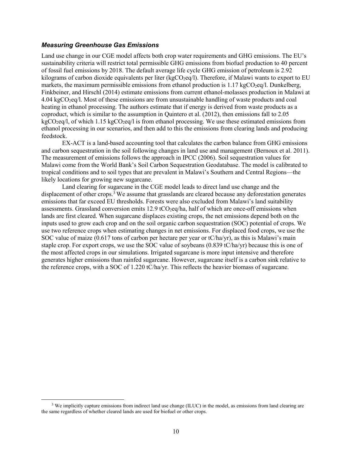#### *Measuring Greenhouse Gas Emissions*

Land use change in our CGE model affects both crop water requirements and GHG emissions. The EU's sustainability criteria will restrict total permissible GHG emissions from biofuel production to 40 percent of fossil fuel emissions by 2018. The default average life cycle GHG emission of petroleum is 2.92 kilograms of carbon dioxide equivalents per liter (kg $CO<sub>2</sub>$ eq/l). Therefore, if Malawi wants to export to EU markets, the maximum permissible emissions from ethanol production is  $1.17 \text{ kgCO}_2$ eq/l. Dunkelberg, Finkbeiner, and Hirschl (2014) estimate emissions from current ethanol-molasses production in Malawi at 4.04 kgCO2eq/l. Most of these emissions are from unsustainable handling of waste products and coal heating in ethanol processing. The authors estimate that if energy is derived from waste products as a coproduct, which is similar to the assumption in Quintero et al. (2012), then emissions fall to 2.05  $kgCO<sub>2</sub>eq/l$ , of which 1.15 kgCO<sub>2</sub>eq/l is from ethanol processing. We use these estimated emissions from ethanol processing in our scenarios, and then add to this the emissions from clearing lands and producing feedstock.

EX-ACT is a land-based accounting tool that calculates the carbon balance from GHG emissions and carbon sequestration in the soil following changes in land use and management (Bernoux et al. 2011). The measurement of emissions follows the approach in IPCC (2006). Soil sequestration values for Malawi come from the World Bank's Soil Carbon Sequestration Geodatabase. The model is calibrated to tropical conditions and to soil types that are prevalent in Malawi's Southern and Central Regions—the likely locations for growing new sugarcane.

Land clearing for sugarcane in the CGE model leads to direct land use change and the displacement of other crops.<sup>[3](#page-15-0)</sup> We assume that grasslands are cleared because any deforestation generates emissions that far exceed EU thresholds. Forests were also excluded from Malawi's land suitability assessments. Grassland conversion emits  $12.9 \text{ tCO}_2$ eq/ha, half of which are once-off emissions when lands are first cleared. When sugarcane displaces existing crops, the net emissions depend both on the inputs used to grow each crop and on the soil organic carbon sequestration (SOC) potential of crops. We use two reference crops when estimating changes in net emissions. For displaced food crops, we use the SOC value of maize (0.617 tons of carbon per hectare per year or  $\frac{\text{tC}}{\text{ha}}$ /yr), as this is Malawi's main staple crop. For export crops, we use the SOC value of soybeans (0.839 tC/ha/yr) because this is one of the most affected crops in our simulations. Irrigated sugarcane is more input intensive and therefore generates higher emissions than rainfed sugarcane. However, sugarcane itself is a carbon sink relative to the reference crops, with a SOC of 1.220 tC/ha/yr. This reflects the heavier biomass of sugarcane.

<span id="page-15-0"></span><sup>&</sup>lt;sup>3</sup> We implicitly capture emissions from indirect land use change (ILUC) in the model, as emissions from land clearing are the same regardless of whether cleared lands are used for biofuel or other crops.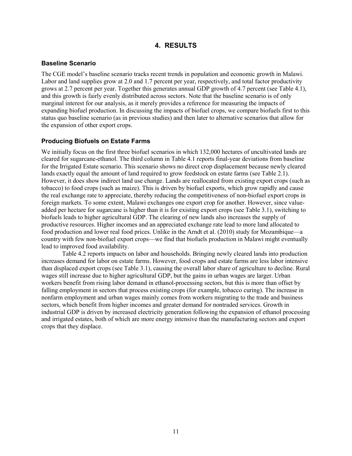## **4. RESULTS**

## **Baseline Scenario**

The CGE model's baseline scenario tracks recent trends in population and economic growth in Malawi. Labor and land supplies grow at 2.0 and 1.7 percent per year, respectively, and total factor productivity grows at 2.7 percent per year. Together this generates annual GDP growth of 4.7 percent (see Table 4.1), and this growth is fairly evenly distributed across sectors. Note that the baseline scenario is of only marginal interest for our analysis, as it merely provides a reference for measuring the impacts of expanding biofuel production. In discussing the impacts of biofuel crops, we compare biofuels first to this status quo baseline scenario (as in previous studies) and then later to alternative scenarios that allow for the expansion of other export crops.

## **Producing Biofuels on Estate Farms**

We initially focus on the first three biofuel scenarios in which 132,000 hectares of uncultivated lands are cleared for sugarcane-ethanol. The third column in Table 4.1 reports final-year deviations from baseline for the Irrigated Estate scenario. This scenario shows no direct crop displacement because newly cleared lands exactly equal the amount of land required to grow feedstock on estate farms (see Table 2.1). However, it does show indirect land use change. Lands are reallocated from existing export crops (such as tobacco) to food crops (such as maize). This is driven by biofuel exports, which grow rapidly and cause the real exchange rate to appreciate, thereby reducing the competitiveness of non-biofuel export crops in foreign markets. To some extent, Malawi exchanges one export crop for another. However, since valueadded per hectare for sugarcane is higher than it is for existing export crops (see Table 3.1), switching to biofuels leads to higher agricultural GDP. The clearing of new lands also increases the supply of productive resources. Higher incomes and an appreciated exchange rate lead to more land allocated to food production and lower real food prices. Unlike in the Arndt et al. (2010) study for Mozambique—a country with few non-biofuel export crops—we find that biofuels production in Malawi might eventually lead to improved food availability.

Table 4.2 reports impacts on labor and households. Bringing newly cleared lands into production increases demand for labor on estate farms. However, food crops and estate farms are less labor intensive than displaced export crops (see Table 3.1), causing the overall labor share of agriculture to decline. Rural wages still increase due to higher agricultural GDP, but the gains in urban wages are larger. Urban workers benefit from rising labor demand in ethanol-processing sectors, but this is more than offset by falling employment in sectors that process existing crops (for example, tobacco curing). The increase in nonfarm employment and urban wages mainly comes from workers migrating to the trade and business sectors, which benefit from higher incomes and greater demand for nontraded services. Growth in industrial GDP is driven by increased electricity generation following the expansion of ethanol processing and irrigated estates, both of which are more energy intensive than the manufacturing sectors and export crops that they displace.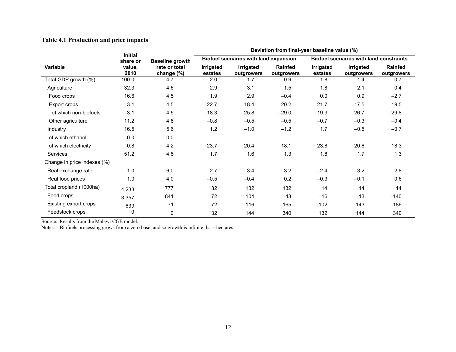|                                                      |                |                                       | Deviation from final-year baseline value (%) |                         |                                                |                      |                         |                       |
|------------------------------------------------------|----------------|---------------------------------------|----------------------------------------------|-------------------------|------------------------------------------------|----------------------|-------------------------|-----------------------|
| <b>Initial</b><br><b>Baseline growth</b><br>share or |                | Biofuel scenarios with land expansion |                                              |                         | <b>Biofuel scenarios with land constraints</b> |                      |                         |                       |
| Variable                                             | value,<br>2010 | rate or total<br>change (%)           | Irrigated<br>estates                         | Irrigated<br>outgrowers | <b>Rainfed</b><br>outgrowers                   | Irrigated<br>estates | Irrigated<br>outgrowers | Rainfed<br>outgrowers |
| Total GDP growth (%)                                 | 100.0          | 4.7                                   | 2.0                                          | 1.7                     | 0.9                                            | 1.8                  | 1.4                     | 0.7                   |
| Agriculture                                          | 32.3           | 4.6                                   | 2.9                                          | 3.1                     | 1.5                                            | 1.8                  | 2.1                     | 0.4                   |
| Food crops                                           | 16.6           | 4.5                                   | 1.9                                          | 2.9                     | $-0.4$                                         | 0.0                  | 0.9                     | $-2.7$                |
| Export crops                                         | 3.1            | 4.5                                   | 22.7                                         | 18.4                    | 20.2                                           | 21.7                 | 17.5                    | 19.5                  |
| of which non-biofuels                                | 3.1            | 4.5                                   | $-18.3$                                      | $-25.8$                 | $-29.0$                                        | $-19.3$              | $-26.7$                 | $-29.8$               |
| Other agriculture                                    | 11.2           | 4.8                                   | $-0.8$                                       | $-0.5$                  | $-0.5$                                         | $-0.7$               | $-0.3$                  | $-0.4$                |
| Industry                                             | 16.5           | 5.6                                   | 1.2                                          | $-1.0$                  | $-1.2$                                         | 1.7                  | $-0.5$                  | $-0.7$                |
| of which ethanol                                     | 0.0            | 0.0                                   |                                              |                         |                                                |                      |                         |                       |
| of which electricity                                 | 0.8            | 4.2                                   | 23.7                                         | 20.4                    | 18.1                                           | 23.8                 | 20.6                    | 18.3                  |
| <b>Services</b>                                      | 51.2           | 4.5                                   | 1.7                                          | 1.6                     | 1.3                                            | 1.8                  | 1.7                     | 1.3                   |
| Change in price indexes (%)                          |                |                                       |                                              |                         |                                                |                      |                         |                       |
| Real exchange rate                                   | 1.0            | 6.0                                   | $-2.7$                                       | $-3.4$                  | $-3.2$                                         | $-2.4$               | $-3.2$                  | $-2.8$                |
| Real food prices                                     | 1.0            | 4.0                                   | $-0.5$                                       | $-0.4$                  | 0.2                                            | $-0.3$               | $-0.1$                  | 0.6                   |
| Total cropland (1000ha)                              | 4,233          | 777                                   | 132                                          | 132                     | 132                                            | 14                   | 14                      | 14                    |
| Food crops                                           | 3,357          | 841                                   | 72                                           | 104                     | $-43$                                          | $-16$                | 13                      | $-140$                |
| Existing export crops                                | 639            | $-71$                                 | $-72$                                        | $-116$                  | $-165$                                         | $-102$               | $-143$                  | $-186$                |
| Feedstock crops                                      | 0              | 0                                     | 132                                          | 144                     | 340                                            | 132                  | 144                     | 340                   |

## **Table 4.1 Production and price impacts**

Source: Results from the Malawi CGE model.

Notes: Biofuels processing grows from a zero base, and so growth is infinite. ha = hectares.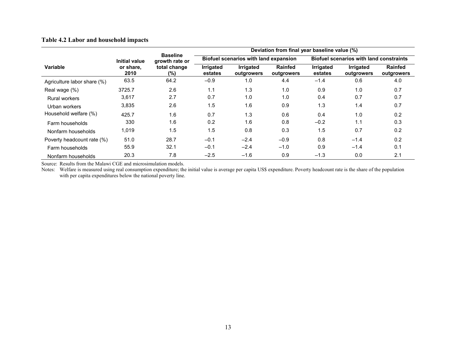## **Table 4.2 Labor and household impacts**

|                             |                   |                                                          |                             |                                       | Deviation from final year baseline value (%) |                             |                                                |                              |
|-----------------------------|-------------------|----------------------------------------------------------|-----------------------------|---------------------------------------|----------------------------------------------|-----------------------------|------------------------------------------------|------------------------------|
|                             | Initial value     | <b>Baseline</b><br>growth rate or<br>total change<br>(%) |                             | Biofuel scenarios with land expansion |                                              |                             | <b>Biofuel scenarios with land constraints</b> |                              |
| Variable                    | or share,<br>2010 |                                                          | <b>Irrigated</b><br>estates | <b>Irrigated</b><br>outgrowers        | <b>Rainfed</b><br>outgrowers                 | <b>Irrigated</b><br>estates | <b>Irrigated</b><br>outgrowers                 | <b>Rainfed</b><br>outgrowers |
| Agriculture labor share (%) | 63.5              | 64.2                                                     | $-0.9$                      | 1.0                                   | 4.4                                          | $-1.4$                      | 0.6                                            | 4.0                          |
| Real wage (%)               | 3725.7            | 2.6                                                      | 1.1                         | 1.3                                   | 1.0                                          | 0.9                         | 1.0                                            | 0.7                          |
| Rural workers               | 3,617             | 2.7                                                      | 0.7                         | 1.0                                   | 1.0                                          | 0.4                         | 0.7                                            | 0.7                          |
| Urban workers               | 3,835             | 2.6                                                      | 1.5                         | 1.6                                   | 0.9                                          | 1.3                         | 1.4                                            | 0.7                          |
| Household welfare (%)       | 425.7             | 1.6                                                      | 0.7                         | 1.3                                   | 0.6                                          | 0.4                         | 1.0                                            | 0.2                          |
| Farm households             | 330               | 1.6                                                      | 0.2                         | 1.6                                   | 0.8                                          | $-0.2$                      | 1.1                                            | 0.3                          |
| Nonfarm households          | 1,019             | 1.5                                                      | 1.5                         | 0.8                                   | 0.3                                          | 1.5                         | 0.7                                            | 0.2                          |
| Poverty headcount rate (%)  | 51.0              | 28.7                                                     | $-0.1$                      | $-2.4$                                | $-0.9$                                       | 0.8                         | $-1.4$                                         | 0.2                          |
| Farm households             | 55.9              | 32.1                                                     | $-0.1$                      | $-2.4$                                | $-1.0$                                       | 0.9                         | $-1.4$                                         | 0.1                          |
| Nonfarm households          | 20.3              | 7.8                                                      | $-2.5$                      | $-1.6$                                | 0.9                                          | $-1.3$                      | 0.0                                            | 2.1                          |

Source: Results from the Malawi CGE and microsimulation models.

Notes: Welfare is measured using real consumption expenditure; the initial value is average per capita US\$ expenditure. Poverty headcount rate is the share of the population with per capita expenditures below the national poverty line.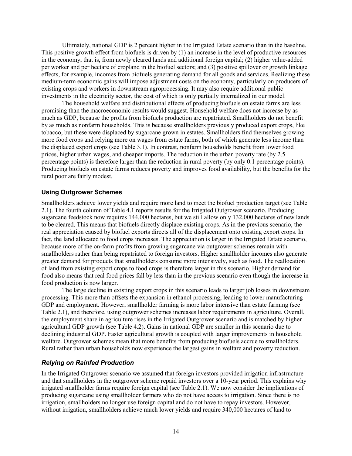Ultimately, national GDP is 2 percent higher in the Irrigated Estate scenario than in the baseline. This positive growth effect from biofuels is driven by (1) an increase in the level of productive resources in the economy, that is, from newly cleared lands and additional foreign capital; (2) higher value-added per worker and per hectare of cropland in the biofuel sectors; and (3) positive spillover or growth linkage effects, for example, incomes from biofuels generating demand for all goods and services. Realizing these medium-term economic gains will impose adjustment costs on the economy, particularly on producers of existing crops and workers in downstream agroprocessing. It may also require additional public investments in the electricity sector, the cost of which is only partially internalized in our model.

The household welfare and distributional effects of producing biofuels on estate farms are less promising than the macroeconomic results would suggest. Household welfare does not increase by as much as GDP, because the profits from biofuels production are repatriated. Smallholders do not benefit by as much as nonfarm households. This is because smallholders previously produced export crops, like tobacco, but these were displaced by sugarcane grown in estates. Smallholders find themselves growing more food crops and relying more on wages from estate farms, both of which generate less income than the displaced export crops (see Table 3.1). In contrast, nonfarm households benefit from lower food prices, higher urban wages, and cheaper imports. The reduction in the urban poverty rate (by 2.5 percentage points) is therefore larger than the reduction in rural poverty (by only 0.1 percentage points). Producing biofuels on estate farms reduces poverty and improves food availability, but the benefits for the rural poor are fairly modest.

## **Using Outgrower Schemes**

Smallholders achieve lower yields and require more land to meet the biofuel production target (see Table 2.1). The fourth column of Table 4.1 reports results for the Irrigated Outgrower scenario. Producing sugarcane feedstock now requires 144,000 hectares, but we still allow only 132,000 hectares of new lands to be cleared. This means that biofuels directly displace existing crops. As in the previous scenario, the real appreciation caused by biofuel exports directs all of the displacement onto existing export crops. In fact, the land allocated to food crops increases. The appreciation is larger in the Irrigated Estate scenario, because more of the on-farm profits from growing sugarcane via outgrower schemes remain with smallholders rather than being repatriated to foreign investors. Higher smallholder incomes also generate greater demand for products that smallholders consume more intensively, such as food. The reallocation of land from existing export crops to food crops is therefore larger in this scenario. Higher demand for food also means that real food prices fall by less than in the previous scenario even though the increase in food production is now larger.

The large decline in existing export crops in this scenario leads to larger job losses in downstream processing. This more than offsets the expansion in ethanol processing, leading to lower manufacturing GDP and employment. However, smallholder farming is more labor intensive than estate farming (see Table 2.1), and therefore, using outgrower schemes increases labor requirements in agriculture. Overall, the employment share in agriculture rises in the Irrigated Outgrower scenario and is matched by higher agricultural GDP growth (see Table 4.2). Gains in national GDP are smaller in this scenario due to declining industrial GDP. Faster agricultural growth is coupled with larger improvements in household welfare. Outgrower schemes mean that more benefits from producing biofuels accrue to smallholders. Rural rather than urban households now experience the largest gains in welfare and poverty reduction.

## *Relying on Rainfed Production*

In the Irrigated Outgrower scenario we assumed that foreign investors provided irrigation infrastructure and that smallholders in the outgrower scheme repaid investors over a 10-year period. This explains why irrigated smallholder farms require foreign capital (see Table 2.1). We now consider the implications of producing sugarcane using smallholder farmers who do not have access to irrigation. Since there is no irrigation, smallholders no longer use foreign capital and do not have to repay investors. However, without irrigation, smallholders achieve much lower yields and require 340,000 hectares of land to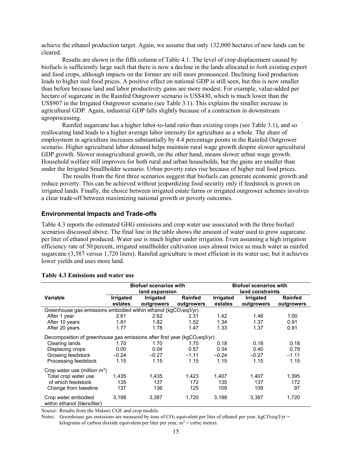achieve the ethanol production target. Again, we assume that only 132,000 hectares of new lands can be cleared.

Results are shown in the fifth column of Table 4.1. The level of crop displacement caused by biofuels is sufficiently large such that there is now a decline in the lands allocated to *both* existing export and food crops, although impacts on the former are still more pronounced. Declining food production leads to higher real food prices. A positive effect on national GDP is still seen, but this is now smaller than before because land and labor productivity gains are more modest. For example, value-added per hectare of sugarcane in the Rainfed Outgrower scenario is US\$430, which is much lower than the US\$907 in the Irrigated Outgrower scenario (see Table 3.1). This explains the smaller increase in agricultural GDP. Again, industrial GDP falls slightly because of a contraction in downstream agroprocessing.

Rainfed sugarcane has a higher labor-to-land ratio than existing crops (see Table 3.1), and so reallocating land leads to a higher average labor intensity for agriculture as a whole. The share of employment in agriculture increases substantially by 4.4 percentage points in the Rainfed Outgrower scenario. Higher agricultural labor demand helps maintain rural wage growth despite slower agricultural GDP growth. Slower nonagricultural growth, on the other hand, means slower urban wage growth. Household welfare still improves for both rural and urban households, but the gains are smaller than under the Irrigated Smallholder scenario. Urban poverty rates rise because of higher real food prices.

The results from the first three scenarios suggest that biofuels can generate economic growth and reduce poverty. This can be achieved without jeopardizing food security only if feedstock is grown on irrigated lands. Finally, the choice between irrigated estate farms or irrigated outgrower schemes involves a clear trade-off between maximizing national growth or poverty outcomes.

#### **Environmental Impacts and Trade-offs**

Table 4.3 reports the estimated GHG emissions and crop water use associated with the three biofuel scenarios discussed above. The final line in the table shows the amount of water used to grow sugarcane per liter of ethanol produced. Water use is much higher under irrigation. Even assuming a high irrigation efficiency rate of 50 percent, irrigated smallholder cultivation uses almost twice as much water as rainfed sugarcane (3,387 versus 1,720 liters). Rainfed agriculture is most efficient in its water use, but it achieves lower yields and uses more land.

|                                                                           | <b>Biofuel scenarios with</b><br>land expansion |            |                |           | <b>Biofuel scenarios with</b><br>land constraints |                |
|---------------------------------------------------------------------------|-------------------------------------------------|------------|----------------|-----------|---------------------------------------------------|----------------|
| <b>Variable</b>                                                           | <b>Irrigated</b>                                | Irrigated  | <b>Rainfed</b> | Irrigated | Irrigated                                         | <b>Rainfed</b> |
|                                                                           | estates                                         | outgrowers | outgrowers     | estates   | outgrowers                                        | outgrowers     |
| Greenhouse gas emissions embodied within ethanol (kgCO2eq/l/yr)           |                                                 |            |                |           |                                                   |                |
| After 1 year                                                              | 2.61                                            | 2.62       | 2.31           | 1.42      | 1.46                                              | 1.00           |
| After 10 years                                                            | 1.81                                            | 1.82       | 1.52           | 1.34      | 1.37                                              | 0.91           |
| After 20 years                                                            | 1.77                                            | 1.78       | 1.47           | 1.33      | 1.37                                              | 0.91           |
| Decomposition of greenhouse gas emissions after first year (kgCO2eq/l/yr) |                                                 |            |                |           |                                                   |                |
| Clearing lands                                                            | 1.70                                            | 1.70       | 1.70           | 0.18      | 0.18                                              | 0.18           |
| Displacing crops                                                          | 0.00                                            | 0.04       | 0.57           | 0.34      | 0.40                                              | 0.78           |
| Growing feedstock                                                         | $-0.24$                                         | $-0.27$    | $-1.11$        | $-0.24$   | $-0.27$                                           | $-1.11$        |
| Processing feedstock                                                      | 1.15                                            | 1.15       | 1.15           | 1.15      | 1.15                                              | 1.15           |
| Crop water use (million $m^3$ )                                           |                                                 |            |                |           |                                                   |                |
| Total crop water use                                                      | 1,435                                           | 1,435      | 1,423          | 1.407     | 1.407                                             | 1,395          |
| of which feedstock                                                        | 135                                             | 137        | 172            | 135       | 137                                               | 172            |
| Change from baseline                                                      | 137                                             | 136        | 125            | 109       | 109                                               | 97             |
| Crop water embodied<br>within ethanol (liters/liter)                      | 3,198                                           | 3,387      | 1,720          | 3,198     | 3,387                                             | 1,720          |

#### **Table 4.3 Emissions and water use**

Source: Results from the Malawi CGE and crop models.

Notes: Greenhouse gas emissions are measured by tons of  $CO<sub>2</sub>$  equivalent per liter of ethanol per year. kgCO<sub>2</sub>eq/l/yr = kilograms of carbon dioxide equivalent per liter per year;  $m<sup>3</sup> =$  cubic meters.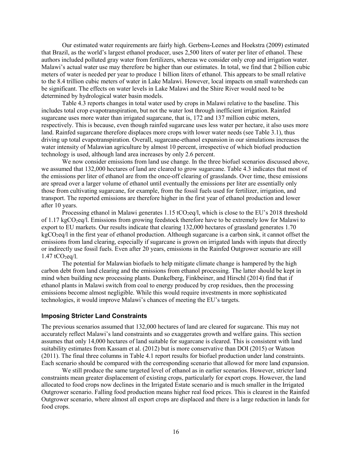Our estimated water requirements are fairly high. Gerbens-Leenes and Hoekstra (2009) estimated that Brazil, as the world's largest ethanol producer, uses 2,500 liters of water per liter of ethanol. These authors included polluted gray water from fertilizers, whereas we consider only crop and irrigation water. Malawi's actual water use may therefore be higher than our estimates. In total, we find that 2 billion cubic meters of water is needed per year to produce 1 billion liters of ethanol. This appears to be small relative to the 8.4 trillion cubic meters of water in Lake Malawi. However, local impacts on small watersheds can be significant. The effects on water levels in Lake Malawi and the Shire River would need to be determined by hydrological water basin models.

Table 4.3 reports changes in total water used by crops in Malawi relative to the baseline. This includes total crop evapotranspiration, but not the water lost through inefficient irrigation. Rainfed sugarcane uses more water than irrigated sugarcane, that is, 172 and 137 million cubic meters, respectively. This is because, even though rainfed sugarcane uses less water per hectare, it also uses more land. Rainfed sugarcane therefore displaces more crops with lower water needs (see Table 3.1), thus driving up total evapotranspiration. Overall, sugarcane-ethanol expansion in our simulations increases the water intensity of Malawian agriculture by almost 10 percent, irrespective of which biofuel production technology is used, although land area increases by only 2.6 percent.

We now consider emissions from land use change. In the three biofuel scenarios discussed above, we assumed that 132,000 hectares of land are cleared to grow sugarcane. Table 4.3 indicates that most of the emissions per liter of ethanol are from the once-off clearing of grasslands. Over time, these emissions are spread over a larger volume of ethanol until eventually the emissions per liter are essentially only those from cultivating sugarcane, for example, from the fossil fuels used for fertilizer, irrigation, and transport. The reported emissions are therefore higher in the first year of ethanol production and lower after 10 years.

Processing ethanol in Malawi generates  $1.15 \text{ tCO}_2$ eq/l, which is close to the EU's 2018 threshold of 1.17 kgCO2eq/l. Emissions from growing feedstock therefore have to be extremely low for Malawi to export to EU markets. Our results indicate that clearing 132,000 hectares of grassland generates 1.70 kgCO2eq/l in the first year of ethanol production. Although sugarcane is a carbon sink, it cannot offset the emissions from land clearing, especially if sugarcane is grown on irrigated lands with inputs that directly or indirectly use fossil fuels. Even after 20 years, emissions in the Rainfed Outgrower scenario are still  $1.47$  tCO<sub>2</sub>eq/l.

The potential for Malawian biofuels to help mitigate climate change is hampered by the high carbon debt from land clearing and the emissions from ethanol processing. The latter should be kept in mind when building new processing plants. Dunkelberg, Finkbeiner, and Hirschl (2014) find that if ethanol plants in Malawi switch from coal to energy produced by crop residues, then the processing emissions become almost negligible. While this would require investments in more sophisticated technologies, it would improve Malawi's chances of meeting the EU's targets.

#### **Imposing Stricter Land Constraints**

The previous scenarios assumed that 132,000 hectares of land are cleared for sugarcane. This may not accurately reflect Malawi's land constraints and so exaggerates growth and welfare gains. This section assumes that only 14,000 hectares of land suitable for sugarcane is cleared. This is consistent with land suitability estimates from Kassam et al. (2012) but is more conservative than DOI (2015) or Watson (2011). The final three columns in Table 4.1 report results for biofuel production under land constraints. Each scenario should be compared with the corresponding scenario that allowed for more land expansion.

We still produce the same targeted level of ethanol as in earlier scenarios. However, stricter land constraints mean greater displacement of existing crops, particularly for export crops. However, the land allocated to food crops now declines in the Irrigated Estate scenario and is much smaller in the Irrigated Outgrower scenario. Falling food production means higher real food prices. This is clearest in the Rainfed Outgrower scenario, where almost all export crops are displaced and there is a large reduction in lands for food crops.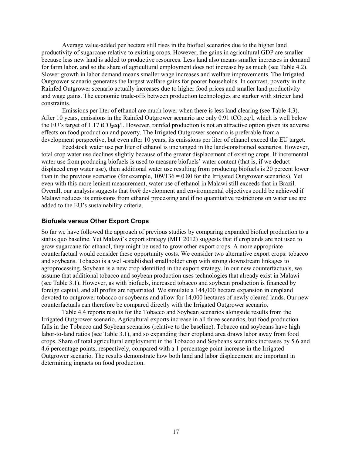Average value-added per hectare still rises in the biofuel scenarios due to the higher land productivity of sugarcane relative to existing crops. However, the gains in agricultural GDP are smaller because less new land is added to productive resources. Less land also means smaller increases in demand for farm labor, and so the share of agricultural employment does not increase by as much (see Table 4.2). Slower growth in labor demand means smaller wage increases and welfare improvements. The Irrigated Outgrower scenario generates the largest welfare gains for poorer households. In contrast, poverty in the Rainfed Outgrower scenario actually increases due to higher food prices and smaller land productivity and wage gains. The economic trade-offs between production technologies are starker with stricter land constraints.

Emissions per liter of ethanol are much lower when there is less land clearing (see Table 4.3). After 10 years, emissions in the Rainfed Outgrower scenario are only 0.91 tCO<sub>2</sub>eq/l, which is well below the EU's target of 1.17 tCO<sub>2</sub>eq/l. However, rainfed production is not an attractive option given its adverse effects on food production and poverty. The Irrigated Outgrower scenario is preferable from a development perspective, but even after 10 years, its emissions per liter of ethanol exceed the EU target.

Feedstock water use per liter of ethanol is unchanged in the land-constrained scenarios. However, total crop water use declines slightly because of the greater displacement of existing crops. If incremental water use from producing biofuels is used to measure biofuels' water content (that is, if we deduct displaced crop water use), then additional water use resulting from producing biofuels is 20 percent lower than in the previous scenarios (for example,  $109/136 = 0.80$  for the Irrigated Outgrower scenarios). Yet even with this more lenient measurement, water use of ethanol in Malawi still exceeds that in Brazil. Overall, our analysis suggests that *both* development and environmental objectives could be achieved if Malawi reduces its emissions from ethanol processing and if no quantitative restrictions on water use are added to the EU's sustainability criteria.

#### **Biofuels versus Other Export Crops**

So far we have followed the approach of previous studies by comparing expanded biofuel production to a status quo baseline. Yet Malawi's export strategy (MIT 2012) suggests that if croplands are not used to grow sugarcane for ethanol, they might be used to grow other export crops. A more appropriate counterfactual would consider these opportunity costs. We consider two alternative export crops: tobacco and soybeans. Tobacco is a well-established smallholder crop with strong downstream linkages to agroprocessing. Soybean is a new crop identified in the export strategy. In our new counterfactuals, we assume that additional tobacco and soybean production uses technologies that already exist in Malawi (see Table 3.1). However, as with biofuels, increased tobacco and soybean production is financed by foreign capital, and all profits are repatriated. We simulate a 144,000 hectare expansion in cropland devoted to outgrower tobacco or soybeans and allow for 14,000 hectares of newly cleared lands. Our new counterfactuals can therefore be compared directly with the Irrigated Outgrower scenario.

Table 4.4 reports results for the Tobacco and Soybean scenarios alongside results from the Irrigated Outgrower scenario. Agricultural exports increase in all three scenarios, but food production falls in the Tobacco and Soybean scenarios (relative to the baseline). Tobacco and soybeans have high labor-to-land ratios (see Table 3.1), and so expanding their cropland area draws labor away from food crops. Share of total agricultural employment in the Tobacco and Soybeans scenarios increases by 5.6 and 4.6 percentage points, respectively, compared with a 1 percentage point increase in the Irrigated Outgrower scenario. The results demonstrate how both land and labor displacement are important in determining impacts on food production.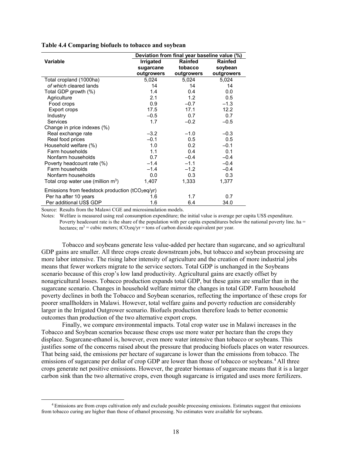|  |  |  |  | Table 4.4 Comparing biofuels to tobacco and soybean |
|--|--|--|--|-----------------------------------------------------|
|--|--|--|--|-----------------------------------------------------|

|                                                      | Deviation from final year baseline value (%) |                |                |  |  |  |  |
|------------------------------------------------------|----------------------------------------------|----------------|----------------|--|--|--|--|
| <b>Variable</b>                                      | Irrigated                                    | <b>Rainfed</b> | <b>Rainfed</b> |  |  |  |  |
|                                                      | sugarcane                                    | tobacco        | soybean        |  |  |  |  |
|                                                      | outgrowers                                   | outgrowers     | outgrowers     |  |  |  |  |
| Total cropland (1000ha)                              | 5,024                                        | 5,024          | 5,024          |  |  |  |  |
| of which cleared lands                               | 14                                           | 14             | 14             |  |  |  |  |
| Total GDP growth (%)                                 | 1.4                                          | 0.4            | 0.0            |  |  |  |  |
| Agriculture                                          | 2.1                                          | 1.2            | 0.5            |  |  |  |  |
| Food crops                                           | 0.9                                          | $-0.7$         | $-1.3$         |  |  |  |  |
| Export crops                                         | 17.5                                         | 17.1           | 12.2           |  |  |  |  |
| Industry                                             | $-0.5$                                       | 0.7            | 0.7            |  |  |  |  |
| <b>Services</b>                                      | 1.7                                          | $-0.2$         | $-0.5$         |  |  |  |  |
| Change in price indexes (%)                          |                                              |                |                |  |  |  |  |
| Real exchange rate                                   | $-3.2$                                       | $-1.0$         | $-0.3$         |  |  |  |  |
| Real food prices                                     | $-0.1$                                       | 0.5            | 0.5            |  |  |  |  |
| Household welfare (%)                                | 1.0                                          | 0.2            | $-0.1$         |  |  |  |  |
| Farm households                                      | 1.1                                          | 0.4            | 0.1            |  |  |  |  |
| Nonfarm households                                   | 0.7                                          | $-0.4$         | $-0.4$         |  |  |  |  |
| Poverty headcount rate (%)                           | $-1.4$                                       | $-1.1$         | $-0.4$         |  |  |  |  |
| Farm households                                      | $-1.4$                                       | $-1.2$         | $-0.4$         |  |  |  |  |
| Nonfarm households                                   | 0.0                                          | 0.3            | 0.3            |  |  |  |  |
| Total crop water use (million $m^3$ )                | 1,407                                        | 1,333          | 1,377          |  |  |  |  |
| Emissions from feedstock production ( $tCO_2$ eq/yr) |                                              |                |                |  |  |  |  |
| Per ha after 10 years                                | 1.6                                          | 1.7            | 0.7            |  |  |  |  |
| Per additional US\$ GDP                              | 1.6                                          | 6.4            | 34.0           |  |  |  |  |

Source: Results from the Malawi CGE and microsimulation models.

Notes: Welfare is measured using real consumption expenditure; the initial value is average per capita US\$ expenditure. Poverty headcount rate is the share of the population with per capita expenditures below the national poverty line. ha = hectares;  $m^3$  = cubic meters; tCO<sub>2</sub>eq/yr = tons of carbon dioxide equivalent per year.

Tobacco and soybeans generate less value-added per hectare than sugarcane, and so agricultural GDP gains are smaller. All three crops create downstream jobs, but tobacco and soybean processing are more labor intensive. The rising labor intensity of agriculture and the creation of more industrial jobs means that fewer workers migrate to the service sectors. Total GDP is unchanged in the Soybeans scenario because of this crop's low land productivity. Agricultural gains are exactly offset by nonagricultural losses. Tobacco production expands total GDP, but these gains are smaller than in the sugarcane scenario. Changes in household welfare mirror the changes in total GDP. Farm household poverty declines in both the Tobacco and Soybean scenarios, reflecting the importance of these crops for poorer smallholders in Malawi. However, total welfare gains and poverty reduction are considerably larger in the Irrigated Outgrower scenario. Biofuels production therefore leads to better economic outcomes than production of the two alternative export crops.

Finally, we compare environmental impacts. Total crop water use in Malawi increases in the Tobacco and Soybean scenarios because these crops use more water per hectare than the crops they displace. Sugarcane-ethanol is, however, even more water intensive than tobacco or soybeans. This justifies some of the concerns raised about the pressure that producing biofuels places on water resources. That being said, the emissions per hectare of sugarcane is lower than the emissions from tobacco. The emissions of sugarcane per dollar of crop GDP are lower than those of tobacco or soybeans. [4](#page-23-0) All three crops generate net positive emissions. However, the greater biomass of sugarcane means that it is a larger carbon sink than the two alternative crops, even though sugarcane is irrigated and uses more fertilizers.

<span id="page-23-0"></span><sup>&</sup>lt;sup>4</sup> Emissions are from crops cultivation only and exclude possible processing emissions. Estimates suggest that emissions from tobacco curing are higher than those of ethanol processing. No estimates were available for soybeans.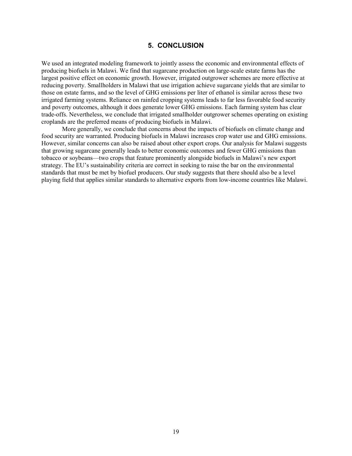#### **5. CONCLUSION**

We used an integrated modeling framework to jointly assess the economic and environmental effects of producing biofuels in Malawi. We find that sugarcane production on large-scale estate farms has the largest positive effect on economic growth. However, irrigated outgrower schemes are more effective at reducing poverty. Smallholders in Malawi that use irrigation achieve sugarcane yields that are similar to those on estate farms, and so the level of GHG emissions per liter of ethanol is similar across these two irrigated farming systems. Reliance on rainfed cropping systems leads to far less favorable food security and poverty outcomes, although it does generate lower GHG emissions. Each farming system has clear trade-offs. Nevertheless, we conclude that irrigated smallholder outgrower schemes operating on existing croplands are the preferred means of producing biofuels in Malawi.

More generally, we conclude that concerns about the impacts of biofuels on climate change and food security are warranted. Producing biofuels in Malawi increases crop water use and GHG emissions. However, similar concerns can also be raised about other export crops. Our analysis for Malawi suggests that growing sugarcane generally leads to better economic outcomes and fewer GHG emissions than tobacco or soybeans—two crops that feature prominently alongside biofuels in Malawi's new export strategy. The EU's sustainability criteria are correct in seeking to raise the bar on the environmental standards that must be met by biofuel producers. Our study suggests that there should also be a level playing field that applies similar standards to alternative exports from low-income countries like Malawi.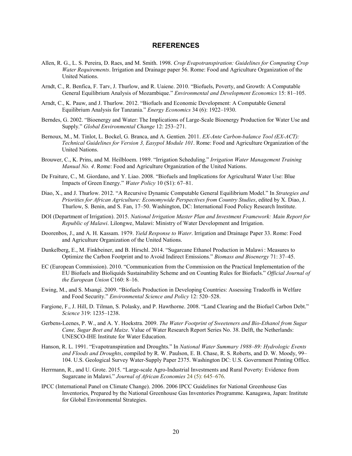#### **REFERENCES**

- Allen, R. G., L. S. Pereira, D. Raes, and M. Smith. 1998. *Crop Evapotranspiration: Guidelines for Computing Crop Water Requirements*. Irrigation and Drainage paper 56. Rome: Food and Agriculture Organization of the United Nations.
- Arndt, C., R. Benfica, F. Tarv, J. Thurlow, and R. Uaiene. 2010. "Biofuels, Poverty, and Growth: A Computable General Equilibrium Analysis of Mozambique." *Environmental and Development Economics* 15: 81–105.
- Arndt, C., K. Pauw, and J. Thurlow. 2012. "Biofuels and Economic Development: A Computable General Equilibrium Analysis for Tanzania." *Energy Economics* 34 (6): 1922–1930.
- Berndes, G. 2002. "Bioenergy and Water: The Implications of Large-Scale Bioenergy Production for Water Use and Supply." *Global Environmental Change* 12: 253–271.
- Bernoux, M., M. Tinlot, L. Bockel, G. Branca, and A. Gentien. 2011. *EX-Ante Carbon-balance Tool (EX-ACT): Technical Guidelines for Version 3, Easypol Module 101*. Rome: Food and Agriculture Organization of the United Nations.
- Brouwer, C., K. Prins, and M. Heilbloem. 1989. "Irrigation Scheduling." *Irrigation Water Management Training Manual No. 4*. Rome: Food and Agriculture Organization of the United Nations.
- De Fraiture, C., M. Giordano, and Y. Liao. 2008. "Biofuels and Implications for Agricultural Water Use: Blue Impacts of Green Energy." *Water Policy* 10 (S1): 67–81.
- Diao, X., and J. Thurlow. 2012. "A Recursive Dynamic Computable General Equilibrium Model." In *Strategies and Priorities for African Agriculture: Economywide Perspectives from Country Studies*, edited by X. Diao, J. Thurlow, S. Benin, and S. Fan, 17–50. Washington, DC: International Food Policy Research Institute.
- DOI (Department of Irrigation). 2015. *National Irrigation Master Plan and Investment Framework: Main Report for Republic of Malawi*. Lilongwe, Malawi: Ministry of Water Development and Irrigation.
- Doorenbos, J., and A. H. Kassam. 1979. *Yield Response to Water*. Irrigation and Drainage Paper 33. Rome: Food and Agriculture Organization of the United Nations.
- Dunkelberg, E., M. Finkbeiner, and B. Hirschl. 2014. "Sugarcane Ethanol Production in Malawi : Measures to Optimize the Carbon Footprint and to Avoid Indirect Emissions." *Biomass and Bioenergy* 71: 37–45.
- EC (European Commission). 2010. "Communication from the Commission on the Practical Implementation of the EU Biofuels and Bioliquids Sustainability Scheme and on Counting Rules for Biofuels." *Official Journal of the European Union* C160: 8–16.
- Ewing, M., and S. Msangi. 2009. "Biofuels Production in Developing Countries: Assessing Tradeoffs in Welfare and Food Security." *Environmental Science and Policy* 12: 520–528.
- Fargione, F., J. Hill, D. Tilman, S. Polasky, and P. Hawthorne. 2008. "Land Clearing and the Biofuel Carbon Debt." *Science* 319: 1235–1238.
- Gerbens-Leenes, P. W., and A. Y. Hoekstra. 2009. *The Water Footprint of Sweeteners and Bio-Ethanol from Sugar Cane, Sugar Beet and Maize*. Value of Water Research Report Series No. 38. Delft, the Netherlands: UNESCO-IHE Institute for Water Education.
- Hanson, R. L. 1991. "Evapotranspiration and Droughts." In *National Water Summary 1988–89: Hydrologic Events and Floods and Droughts*, compiled by R. W. Paulson, E. B. Chase, R. S. Roberts, and D. W. Moody, 99– 104. U.S. Geological Survey Water-Supply Paper 2375. Washington DC: U.S. Government Printing Office.
- Herrmann, R., and U. Grote. 2015. "Large-scale Agro-Industrial Investments and Rural Poverty: Evidence from Sugarcane in Malawi." *Journal of African Economies* 24 (5): 645–676.
- IPCC (International Panel on Climate Change). 2006. 2006 IPCC Guidelines for National Greenhouse Gas Inventories, Prepared by the National Greenhouse Gas Inventories Programme. Kanagawa, Japan: Institute for Global Environmental Strategies.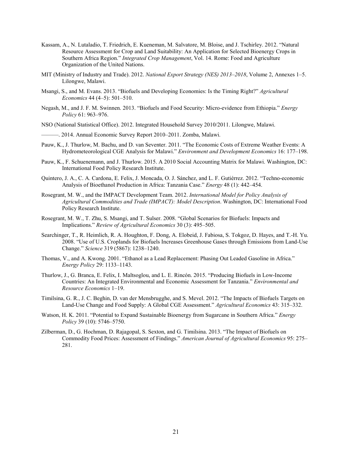- Kassam, A., N. Lutaladio, T. Friedrich, E. Kueneman, M. Salvatore, M. Bloise, and J. Tschirley. 2012. "Natural Resource Assessment for Crop and Land Suitability: An Application for Selected Bioenergy Crops in Southern Africa Region." *Integrated Crop Management*, Vol. 14. Rome: Food and Agriculture Organization of the United Nations.
- MIT (Ministry of Industry and Trade). 2012. *National Export Strategy (NES) 2013–2018*, Volume 2, Annexes 1–5. Lilongwe, Malawi.
- Msangi, S., and M. Evans. 2013. "Biofuels and Developing Economies: Is the Timing Right?" *Agricultural Economics* 44 (4–5): 501–510.
- Negash, M., and J. F. M. Swinnen. 2013. "Biofuels and Food Security: Micro-evidence from Ethiopia." *Energy Policy* 61: 963–976.
- NSO (National Statistical Office). 2012. Integrated Household Survey 2010/2011. Lilongwe, Malawi.
- ———. 2014. Annual Economic Survey Report 2010–2011. Zomba, Malawi.
- Pauw, K., J. Thurlow, M. Bachu, and D. van Seventer. 2011. "The Economic Costs of Extreme Weather Events: A Hydrometeorological CGE Analysis for Malawi." *Environment and Development Economics* 16: 177–198.
- Pauw, K., F. Schuenemann, and J. Thurlow. 2015. A 2010 Social Accounting Matrix for Malawi. Washington, DC: International Food Policy Research Institute.
- Quintero, J. A., C. A. Cardona, E. Felix, J. Moncada, O. J. Sánchez, and L. F. Gutiérrez. 2012. "Techno-economic Analysis of Bioethanol Production in Africa: Tanzania Case." *Energy* 48 (1): 442–454.
- Rosegrant, M. W., and the IMPACT Development Team. 2012. *International Model for Policy Analysis of Agricultural Commodities and Trade (IMPACT): Model Description*. Washington, DC: International Food Policy Research Institute.
- Rosegrant, M. W., T. Zhu, S. Msangi, and T. Sulser. 2008. "Global Scenarios for Biofuels: Impacts and Implications." *Review of Agricultural Economics* 30 (3): 495–505.
- Searchinger, T., R. Heimlich, R. A. Houghton, F. Dong, A. Elobeid, J. Fabiosa, S. Tokgoz, D. Hayes, and T.-H. Yu. 2008. "Use of U.S. Croplands for Biofuels Increases Greenhouse Gases through Emissions from Land-Use Change." *Science* 319 (5867): 1238–1240.
- Thomas, V., and A. Kwong. 2001. "Ethanol as a Lead Replacement: Phasing Out Leaded Gasoline in Africa." *Energy Policy* 29: 1133–1143.
- Thurlow, J., G. Branca, E. Felix, I. Maltsoglou, and L. E. Rincón. 2015. "Producing Biofuels in Low-Income Countries: An Integrated Environmental and Economic Assessment for Tanzania." *Environmental and Resource Economics* 1–19.
- Timilsina, G. R., J. C. Beghin, D. van der Mensbrugghe, and S. Mevel. 2012. "The Impacts of Biofuels Targets on Land-Use Change and Food Supply: A Global CGE Assessment." *Agricultural Economics* 43: 315–332.
- Watson, H. K. 2011. "Potential to Expand Sustainable Bioenergy from Sugarcane in Southern Africa." *Energy Policy* 39 (10): 5746–5750.
- Zilberman, D., G. Hochman, D. Rajagopal, S. Sexton, and G. Timilsina. 2013. "The Impact of Biofuels on Commodity Food Prices: Assessment of Findings." *American Journal of Agricultural Economics* 95: 275– 281.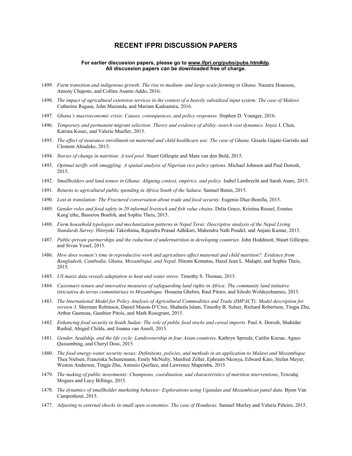## **RECENT IFPRI DISCUSSION PAPERS**

#### **For earlier discussion papers, please go to [www.ifpri.org/pubs/pubs.htm#dp.](http://www.ifpri.org/pubs/pubs.htm#dp) All discussion papers can be downloaded free of charge.**

- 1499. *Farm transition and indigenous growth: The rise to medium- and large-scale farming in Ghana.* Nazaire Houssou, Antony Chapoto, and Collins Asante-Addo, 2016.
- 1498. *The impact of agricultural extension services in the context of a heavily subsidized input system: The case of Malawi.*  Catherine Ragasa, John Mazunda, and Mariam Kadzamira, 2016.
- 1497. *Ghana's macroeconomic crisis: Causes, consequences, and policy responses.* Stephen D. Younger, 2016.
- 1496. *Temporary and permanent migrant selection: Theory and evidence of ability–search cost dynamics.* Joyce J. Chen, Katrina Kosec, and Valerie Mueller, 2015.
- 1495. *The effect of insurance enrollment on maternal and child healthcare use: The case of Ghana.* Gissele Gajate-Garrido and Clement Ahiadeke, 2015.
- 1494. *Stories of change in nutrition: A tool pool.* Stuart Gillespie and Mara van den Bold, 2015.
- 1493. *Optimal tariffs with smuggling: A spatial analysis of Nigerian rice policy options.* Michael Johnson and Paul Dorosh, 2015.
- 1492. *Smallholders and land tenure in Ghana: Aligning context, empirics, and policy.* Isabel Lambrecht and Sarah Asare, 2015.
- 1491. *Returns to agricultural public spending in Africa South of the Sahara*. Samuel Benin, 2015.
- 1490. *Lost in translation: The Fractured conversation about trade and food security*. Eugenio Díaz-Bonilla, 2015.
- 1489. G*ender roles and food safety in 20 informal livestock and fish value chains.* Delia Grace, Kristina Roesel, Erastus Kang'ethe, Bassirou Bonfoh, and Sophie Theis, 2015.
- 1488. *Farm household typologies and mechanization patterns in Nepal Terai: Descriptive analysis of the Nepal Living Standards Survey*. Hiroyuki Takeshima, Rajendra Prasad Adhikari, Mahendra Nath Poudel, and Anjani Kumar, 2015.
- 1487. *Public-private partnerships and the reduction of undernutrition in developing countries.* John Hoddinott, Stuart Gillespie, and Sivan Yosef, 2015.
- 1486. *How does women's time in reproductive work and agriculture affect maternal and child nutrition?: Evidence from Bangladesh, Cambodia, Ghana, Mozambique, and Nepal.* Hitomi Komatsu, Hazel Jean L. Malapit, and Sophie Theis, 2015.
- 1485. *US maize data reveals adaptation to heat and water stress*. Timothy S. Thomas, 2015.
- 1484. *Customary tenure and innovative measures of safeguarding land rights in Africa: The community land initiative (iniciativa de terras comunitárias) in Mozambique*. Hosaena Ghebru, Raul Pitoro, and Sileshi Woldeyohannes, 2015.
- 1483. *The International Model for Policy Analysis of Agricultural Commodities and Trade (IMPACT): Model description for version 3*. Sherman Robinson, Daniel Mason-D'Croz, Shahnila Islam, Timothy B. Sulser, Richard Robertson, Tingju Zhu, Arthur Gueneau, Gauthier Pitois, and Mark Rosegrant, 2015.
- 1482. *Enhancing food security in South Sudan: The role of public food stocks and cereal imports.* Paul A. Dorosh, Shahidur Rashid, Abigail Childs, and Joanna van Asselt, 2015.
- 1481. *Gender, headship, and the life cycle: Landownership in four Asian countries.* Kathryn Sproule, Caitlin Kieran, Agnes Quisumbing, and Cheryl Doss, 2015.
- 1480. *The food-energy-water security nexus: Definitions, policies, and methods in an application to Malawi and Mozambique.* Thea Nielsen, Franziska Schunemann, Emily McNulty, Manfred Zeller, Ephraim Nkonya, Edward Kato, Stefan Meyer, Weston Anderson, Tingju Zhu, Antonio Queface, and Lawrence Mapemba, 2015.
- 1479. *The making of public investments: Champions, coordination, and characteristics of nutrition interventions*, Tewodaj Mogues and Lucy Billings, 2015.
- 1478. *The dynamics of smallholder marketing behavior: Explorations using Ugandan and Mozambican panel data.* Bjorn Van Campenhout, 2015.
- 1477. *Adjusting to external shocks in small open economies: The case of Honduras.* Samuel Morley and Valeria Piñeiro, 2015.